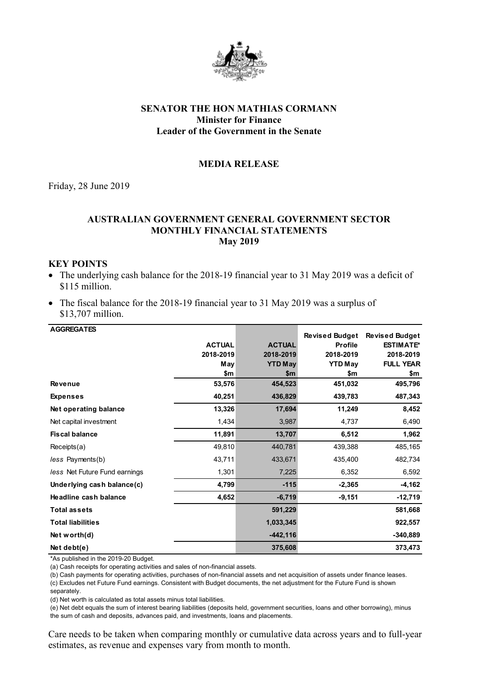

# **SENATOR THE HON MATHIAS CORMANN Minister for Finance Leader of the Government in the Senate**

## **MEDIA RELEASE**

Friday, 28 June 2019

## **AUSTRALIAN GOVERNMENT GENERAL GOVERNMENT SECTOR MONTHLY FINANCIAL STATEMENTS May 2019**

## **KEY POINTS**

- The underlying cash balance for the 2018-19 financial year to 31 May 2019 was a deficit of \$115 million.
- The fiscal balance for the 2018-19 financial year to 31 May 2019 was a surplus of \$13,707 million.

| <b>AGGREGATES</b>             |               |                | <b>Revised Budget</b> | <b>Revised Budget</b> |
|-------------------------------|---------------|----------------|-----------------------|-----------------------|
|                               | <b>ACTUAL</b> | <b>ACTUAL</b>  | <b>Profile</b>        | <b>ESTIMATE*</b>      |
|                               | 2018-2019     | 2018-2019      | 2018-2019             | 2018-2019             |
|                               | May           | <b>YTD May</b> | <b>YTD May</b>        | <b>FULL YEAR</b>      |
|                               | \$m           | \$m            | \$m                   | \$m                   |
| <b>Revenue</b>                | 53,576        | 454,523        | 451,032               | 495,796               |
| <b>Expenses</b>               | 40,251        | 436,829        | 439,783               | 487,343               |
| Net operating balance         | 13,326        | 17,694         | 11,249                | 8,452                 |
| Net capital investment        | 1,434         | 3,987          | 4,737                 | 6,490                 |
| <b>Fiscal balance</b>         | 11,891        | 13,707         | 6,512                 | 1,962                 |
| Receipts(a)                   | 49,810        | 440,781        | 439,388               | 485,165               |
| less Payments(b)              | 43,711        | 433,671        | 435,400               | 482,734               |
| less Net Future Fund earnings | 1,301         | 7,225          | 6,352                 | 6,592                 |
| Underlying cash balance(c)    | 4,799         | $-115$         | $-2,365$              | $-4,162$              |
| Headline cash balance         | 4,652         | $-6,719$       | $-9,151$              | $-12,719$             |
| <b>Total assets</b>           |               | 591,229        |                       | 581,668               |
| <b>Total liabilities</b>      |               | 1,033,345      |                       | 922,557               |
| Net worth $(d)$               |               | $-442, 116$    |                       | $-340,889$            |
| Net debt $(e)$                |               | 375,608        |                       | 373,473               |

\*As published in the 2019-20 Budget.

(a) Cash receipts for operating activities and sales of non-financial assets.

(b) Cash payments for operating activities, purchases of non-financial assets and net acquisition of assets under finance leases.

(c) Excludes net Future Fund earnings. Consistent with Budget documents, the net adjustment for the Future Fund is shown

separately.

(d) Net worth is calculated as total assets minus total liabilities.

(e) Net debt equals the sum of interest bearing liabilities (deposits held, government securities, loans and other borrowing), minus the sum of cash and deposits, advances paid, and investments, loans and placements.

Care needs to be taken when comparing monthly or cumulative data across years and to full-year estimates, as revenue and expenses vary from month to month.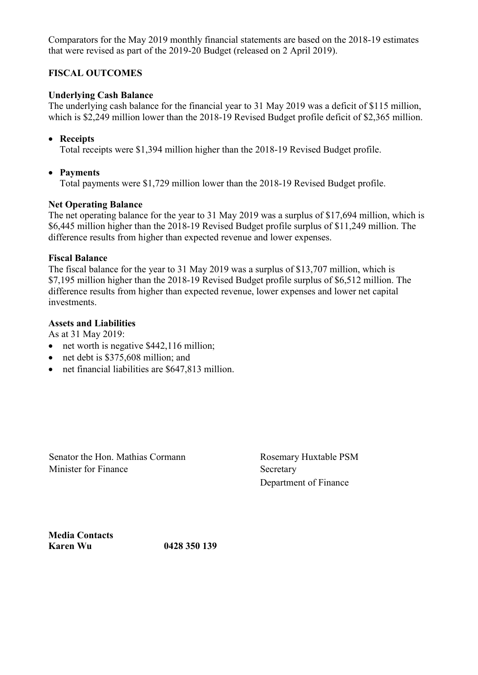Comparators for the May 2019 monthly financial statements are based on the 2018-19 estimates that were revised as part of the 2019-20 Budget (released on 2 April 2019).

# **FISCAL OUTCOMES**

# **Underlying Cash Balance**

The underlying cash balance for the financial year to 31 May 2019 was a deficit of \$115 million, which is \$2,249 million lower than the 2018-19 Revised Budget profile deficit of \$2,365 million.

# • **Receipts**

Total receipts were \$1,394 million higher than the 2018-19 Revised Budget profile.

## • **Payments**

Total payments were \$1,729 million lower than the 2018-19 Revised Budget profile.

### **Net Operating Balance**

The net operating balance for the year to 31 May 2019 was a surplus of \$17,694 million, which is \$6,445 million higher than the 2018-19 Revised Budget profile surplus of \$11,249 million. The difference results from higher than expected revenue and lower expenses.

### **Fiscal Balance**

The fiscal balance for the year to 31 May 2019 was a surplus of \$13,707 million, which is \$7,195 million higher than the 2018-19 Revised Budget profile surplus of \$6,512 million. The difference results from higher than expected revenue, lower expenses and lower net capital investments.

## **Assets and Liabilities**

As at 31 May 2019:

- net worth is negative \$442,116 million;
- net debt is \$375,608 million; and
- net financial liabilities are \$647,813 million.

Senator the Hon. Mathias Cormann Rosemary Huxtable PSM Minister for Finance Secretary

Department of Finance

**Media Contacts Karen Wu 0428 350 139**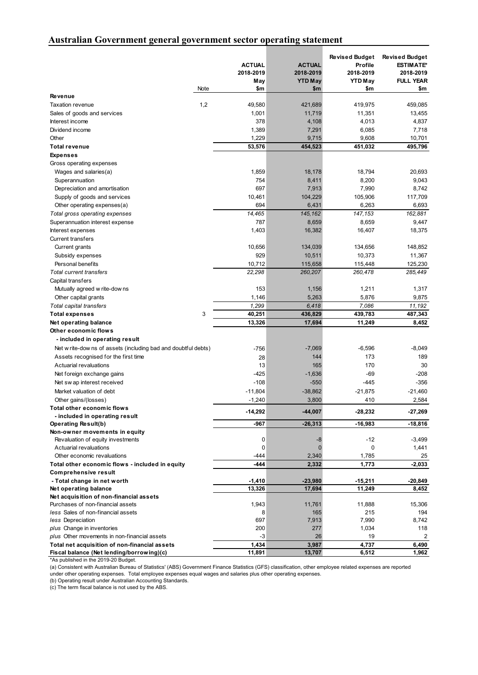## **Australian Government general government sector operating statement**

|                                                                |      | <b>ACTUAL</b><br>2018-2019<br>May | <b>ACTUAL</b><br>2018-2019<br><b>YTD May</b> | <b>Revised Budget</b><br>Profile<br>2018-2019<br><b>YTD May</b> | <b>Revised Budget</b><br><b>ESTIMATE*</b><br>2018-2019<br><b>FULL YEAR</b> |
|----------------------------------------------------------------|------|-----------------------------------|----------------------------------------------|-----------------------------------------------------------------|----------------------------------------------------------------------------|
|                                                                | Note | \$m                               | \$m                                          | \$m                                                             | \$m                                                                        |
| Revenue                                                        |      |                                   |                                              |                                                                 |                                                                            |
| <b>Taxation revenue</b>                                        | 1,2  | 49,580                            | 421,689                                      | 419,975                                                         | 459,085                                                                    |
| Sales of goods and services<br>Interest income                 |      | 1,001<br>378                      | 11,719<br>4,108                              | 11,351<br>4,013                                                 | 13,455                                                                     |
| Dividend income                                                |      | 1,389                             | 7,291                                        | 6,085                                                           | 4,837<br>7,718                                                             |
| Other                                                          |      | 1,229                             | 9,715                                        | 9,608                                                           | 10,701                                                                     |
| <b>Total revenue</b>                                           |      | 53,576                            | 454,523                                      | 451,032                                                         | 495,796                                                                    |
| <b>Expenses</b>                                                |      |                                   |                                              |                                                                 |                                                                            |
| Gross operating expenses                                       |      |                                   |                                              |                                                                 |                                                                            |
| Wages and salaries(a)                                          |      | 1,859                             | 18,178                                       | 18,794                                                          | 20,693                                                                     |
| Superannuation                                                 |      | 754                               | 8,411                                        | 8,200                                                           | 9,043                                                                      |
| Depreciation and amortisation                                  |      | 697                               | 7,913                                        | 7,990                                                           | 8,742                                                                      |
| Supply of goods and services                                   |      | 10,461                            | 104,229                                      | 105,906                                                         | 117,709                                                                    |
| Other operating expenses(a)                                    |      | 694                               | 6,431                                        | 6,263                                                           | 6,693                                                                      |
| Total gross operating expenses                                 |      | 14,465                            | 145,162                                      | 147,153                                                         | 162,881                                                                    |
| Superannuation interest expense                                |      | 787                               | 8,659                                        | 8,659                                                           | 9,447                                                                      |
| Interest expenses                                              |      | 1,403                             | 16,382                                       | 16,407                                                          | 18,375                                                                     |
| <b>Current transfers</b>                                       |      |                                   |                                              |                                                                 |                                                                            |
| Current grants                                                 |      | 10,656                            | 134,039                                      | 134,656                                                         | 148,852                                                                    |
| Subsidy expenses                                               |      | 929                               | 10,511                                       | 10,373                                                          | 11,367                                                                     |
| Personal benefits                                              |      | 10,712                            | 115,658                                      | 115,448                                                         | 125,230                                                                    |
| <b>Total current transfers</b>                                 |      | 22,298                            | 260,207                                      | 260,478                                                         | 285,449                                                                    |
| Capital transfers                                              |      |                                   |                                              |                                                                 |                                                                            |
| Mutually agreed w rite-dow ns                                  |      | 153                               | 1,156                                        | 1,211                                                           | 1,317                                                                      |
| Other capital grants                                           |      | 1,146                             | 5,263                                        | 5,876                                                           | 9,875                                                                      |
| Total capital transfers                                        |      | 1,299                             | 6,418                                        | 7,086                                                           | 11,192                                                                     |
| <b>Total expenses</b>                                          | 3    | 40,251                            | 436,829                                      | 439,783                                                         | 487,343                                                                    |
| Net operating balance                                          |      | 13,326                            | 17,694                                       | 11,249                                                          | 8,452                                                                      |
| Other economic flows                                           |      |                                   |                                              |                                                                 |                                                                            |
| - included in operating result                                 |      |                                   |                                              |                                                                 |                                                                            |
| Net w rite-dow ns of assets (including bad and doubtful debts) |      | $-756$                            | $-7,069$                                     | $-6,596$                                                        | $-8,049$                                                                   |
| Assets recognised for the first time                           |      | 28                                | 144                                          | 173                                                             | 189                                                                        |
| Actuarial revaluations                                         |      | 13                                | 165                                          | 170                                                             | 30                                                                         |
| Net foreign exchange gains                                     |      | $-425$                            | $-1,636$                                     | $-69$                                                           | $-208$                                                                     |
| Net sw ap interest received                                    |      | $-108$                            | $-550$                                       | $-445$                                                          | $-356$                                                                     |
| Market valuation of debt                                       |      | $-11,804$                         | $-38,862$                                    | $-21,875$                                                       | $-21,460$                                                                  |
|                                                                |      | $-1,240$                          | 3,800                                        | 410                                                             | 2,584                                                                      |
| Other gains/(losses)<br>Total other economic flows             |      |                                   |                                              |                                                                 |                                                                            |
| - included in operating result                                 |      | $-14,292$                         | -44,007                                      | $-28,232$                                                       | $-27,269$                                                                  |
| <b>Operating Result(b)</b>                                     |      | -967                              | $-26,313$                                    | $-16,983$                                                       | -18,816                                                                    |
| Non-owner movements in equity                                  |      |                                   |                                              |                                                                 |                                                                            |
| Revaluation of equity investments                              |      | 0                                 | -8                                           | $-12$                                                           | $-3,499$                                                                   |
| Actuarial revaluations                                         |      | 0                                 | $\mathbf{0}$                                 | 0                                                               | 1,441                                                                      |
| Other economic revaluations                                    |      | $-444$                            | 2,340                                        | 1,785                                                           | 25                                                                         |
| Total other economic flows - included in equity                |      | $-444$                            | 2,332                                        | 1,773                                                           | $-2,033$                                                                   |
| <b>Comprehensive result</b>                                    |      |                                   |                                              |                                                                 |                                                                            |
| - Total change in net worth                                    |      | $-1,410$                          | $-23,980$                                    | $-15,211$                                                       | $-20,849$                                                                  |
| Net operating balance                                          |      | 13,326                            | 17,694                                       | 11,249                                                          | 8,452                                                                      |
| Net acquisition of non-financial assets                        |      |                                   |                                              |                                                                 |                                                                            |
| Purchases of non-financial assets                              |      | 1,943                             | 11,761                                       | 11,888                                                          | 15,306                                                                     |
| less Sales of non-financial assets                             |      | 8                                 | 165                                          | 215                                                             | 194                                                                        |
| less Depreciation                                              |      | 697                               | 7,913                                        | 7,990                                                           | 8,742                                                                      |
| plus Change in inventories                                     |      | 200                               | 277                                          | 1,034                                                           | 118                                                                        |
| plus Other movements in non-financial assets                   |      | $-3$                              | 26                                           | 19                                                              | 2                                                                          |
| Total net acquisition of non-financial assets                  |      | 1,434                             | 3,987                                        | 4,737                                                           | 6,490                                                                      |
| Fiscal balance (Net lending/borrowing)(c)                      |      | 11,891                            | 13,707                                       | 6,512                                                           | 1,962                                                                      |

\*As published in the 2019-20 Budget.

(a) Consistent with Australian Bureau of Statistics' (ABS) Government Finance Statistics (GFS) classification, other employee related expenses are reported under other operating expenses. Total employee expenses equal wages and salaries plus other operating expenses.

(b) Operating result under Australian Accounting Standards.

(c) The term fiscal balance is not used by the ABS.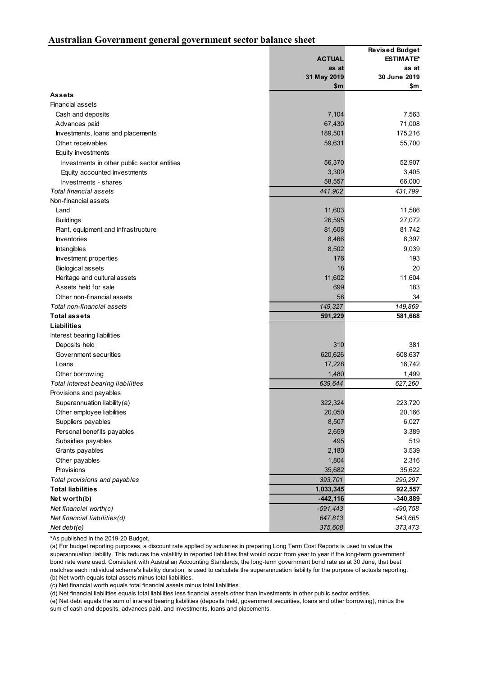#### **Australian Government general government sector balance sheet**

|                                             |               | <b>Revised Budget</b> |
|---------------------------------------------|---------------|-----------------------|
|                                             | <b>ACTUAL</b> | <b>ESTIMATE*</b>      |
|                                             | as at         | as at                 |
|                                             | 31 May 2019   | 30 June 2019          |
|                                             | \$m           | \$m                   |
| <b>Assets</b>                               |               |                       |
| <b>Financial assets</b>                     |               |                       |
| Cash and deposits                           | 7,104         | 7,563                 |
| Advances paid                               | 67,430        | 71,008                |
| Investments, loans and placements           | 189,501       | 175,216               |
| Other receivables                           | 59,631        | 55,700                |
| Equity investments                          |               |                       |
| Investments in other public sector entities | 56,370        | 52,907                |
| Equity accounted investments                | 3,309         | 3,405                 |
| Investments - shares                        | 58,557        | 66,000                |
| <b>Total financial assets</b>               | 441,902       | 431,799               |
| Non-financial assets                        |               |                       |
| Land                                        | 11,603        | 11,586                |
| <b>Buildings</b>                            | 26,595        | 27,072                |
| Plant, equipment and infrastructure         | 81,608        | 81,742                |
| <b>Inventories</b>                          | 8,466         | 8,397                 |
| <b>Intangibles</b>                          | 8,502         | 9,039                 |
| Investment properties                       | 176           | 193                   |
| <b>Biological assets</b>                    | 18            | 20                    |
| Heritage and cultural assets                | 11,602        | 11,604                |
| Assets held for sale                        | 699           | 183                   |
| Other non-financial assets                  | 58            | 34                    |
| Total non-financial assets                  | 149,327       | 149,869               |
| <b>Total assets</b>                         | 591,229       | 581,668               |
| <b>Liabilities</b>                          |               |                       |
| Interest bearing liabilities                |               |                       |
| Deposits held                               | 310           | 381                   |
| Government securities                       | 620,626       | 608,637               |
| Loans                                       | 17,228        | 16,742                |
| Other borrow ing                            | 1,480         | 1,499                 |
| Total interest bearing liabilities          | 639,644       | 627,260               |
| Provisions and payables                     |               |                       |
| Superannuation liability(a)                 | 322,324       | 223,720               |
| Other employee liabilities                  | 20,050        | 20,166                |
| Suppliers payables                          | 8,507         | 6,027                 |
| Personal benefits payables                  | 2,659         | 3,389                 |
| Subsidies payables                          | 495           | 519                   |
| Grants payables                             | 2,180         | 3,539                 |
| Other payables                              | 1,804         | 2,316                 |
| Provisions                                  | 35,682        | 35,622                |
| Total provisions and payables               | 393,701       | 295,297               |
| <b>Total liabilities</b>                    | 1,033,345     | 922,557               |
| Net worth(b)                                | $-442, 116$   | $-340,889$            |
| Net financial worth(c)                      | $-591,443$    | -490,758              |
| Net financial liabilities(d)                | 647,813       | 543,665               |
|                                             | 375,608       | 373,473               |
| Net debt $(e)$                              |               |                       |

\*As published in the 2019-20 Budget.

(a) For budget reporting purposes, a discount rate applied by actuaries in preparing Long Term Cost Reports is used to value the superannuation liability. This reduces the volatility in reported liabilities that would occur from year to year if the long-term government bond rate were used. Consistent with Australian Accounting Standards, the long-term government bond rate as at 30 June, that best matches each individual scheme's liability duration, is used to calculate the superannuation liability for the purpose of actuals reporting. (b) Net worth equals total assets minus total liabilities.

(c) Net financial worth equals total financial assets minus total liabilities.

(d) Net financial liabilities equals total liabilities less financial assets other than investments in other public sector entities.

(e) Net debt equals the sum of interest bearing liabilities (deposits held, government securities, loans and other borrowing), minus the sum of cash and deposits, advances paid, and investments, loans and placements.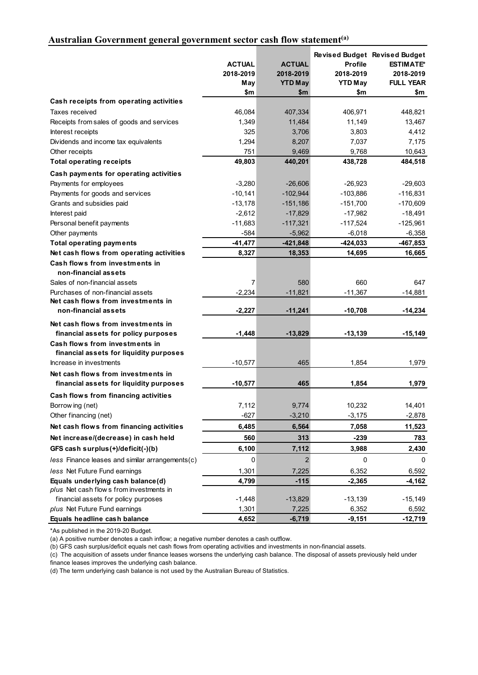# **Australian Government general government sector cash flow statement(a)**

|                                                            | <b>ACTUAL</b><br>2018-2019<br>May<br>\$m | <b>ACTUAL</b><br>2018-2019<br><b>YTD May</b> | <b>Profile</b><br>2018-2019<br><b>YTD May</b> | <b>Revised Budget Revised Budget</b><br><b>ESTIMATE*</b><br>2018-2019<br><b>FULL YEAR</b> |
|------------------------------------------------------------|------------------------------------------|----------------------------------------------|-----------------------------------------------|-------------------------------------------------------------------------------------------|
| Cash receipts from operating activities                    |                                          | \$m                                          | \$m                                           | \$m                                                                                       |
| Taxes received                                             | 46,084                                   | 407,334                                      | 406,971                                       | 448,821                                                                                   |
| Receipts from sales of goods and services                  | 1,349                                    | 11,484                                       | 11,149                                        | 13,467                                                                                    |
| Interest receipts                                          | 325                                      | 3,706                                        | 3,803                                         | 4,412                                                                                     |
| Dividends and income tax equivalents                       | 1,294                                    | 8,207                                        | 7,037                                         | 7,175                                                                                     |
| Other receipts                                             | 751                                      | 9,469                                        | 9,768                                         | 10,643                                                                                    |
| <b>Total operating receipts</b>                            | 49,803                                   | 440,201                                      | 438,728                                       | 484,518                                                                                   |
| Cash payments for operating activities                     |                                          |                                              |                                               |                                                                                           |
| Payments for employees                                     | $-3,280$                                 | $-26,606$                                    | $-26,923$                                     | $-29,603$                                                                                 |
| Payments for goods and services                            | $-10,141$                                | $-102,944$                                   | $-103,886$                                    | $-116,831$                                                                                |
| Grants and subsidies paid                                  | $-13,178$                                | $-151,186$                                   | $-151,700$                                    | $-170,609$                                                                                |
| Interest paid                                              | $-2,612$                                 | $-17,829$                                    | $-17,982$                                     | $-18,491$                                                                                 |
| Personal benefit payments                                  | $-11,683$                                | $-117,321$                                   | $-117,524$                                    | $-125,961$                                                                                |
| Other payments                                             | $-584$                                   | $-5,962$                                     | $-6,018$                                      | $-6,358$                                                                                  |
| <b>Total operating payments</b>                            | $-41,477$                                | $-421,848$                                   | $-424,033$                                    | $-467,853$                                                                                |
| Net cash flows from operating activities                   | 8,327                                    | 18,353                                       | 14,695                                        | 16,665                                                                                    |
| Cash flows from investments in<br>non-financial assets     |                                          |                                              |                                               |                                                                                           |
| Sales of non-financial assets                              | 7                                        | 580                                          | 660                                           | 647                                                                                       |
| Purchases of non-financial assets                          | $-2,234$                                 | $-11,821$                                    | $-11,367$                                     | $-14,881$                                                                                 |
| Net cash flows from investments in<br>non-financial assets | $-2,227$                                 | $-11,241$                                    | $-10,708$                                     | $-14,234$                                                                                 |
| Net cash flows from investments in                         |                                          |                                              |                                               |                                                                                           |
| financial assets for policy purposes                       | $-1,448$                                 | $-13,829$                                    | $-13,139$                                     | $-15,149$                                                                                 |
| Cash flows from investments in                             |                                          |                                              |                                               |                                                                                           |
| financial assets for liquidity purposes                    |                                          |                                              |                                               |                                                                                           |
| Increase in investments                                    | $-10,577$                                | 465                                          | 1,854                                         | 1,979                                                                                     |
| Net cash flows from investments in                         |                                          |                                              |                                               |                                                                                           |
| financial assets for liquidity purposes                    | $-10,577$                                | 465                                          | 1,854                                         | 1,979                                                                                     |
| Cash flows from financing activities                       |                                          |                                              |                                               |                                                                                           |
| Borrow ing (net)                                           | 7,112                                    | 9,774                                        | 10,232                                        | 14,401                                                                                    |
| Other financing (net)                                      | $-627$                                   | $-3,210$                                     | $-3,175$                                      | $-2,878$                                                                                  |
| Net cash flows from financing activities                   | 6,485                                    | 6,564                                        | 7,058                                         | 11,523                                                                                    |
| Net increase/(decrease) in cash held                       | 560                                      | 313                                          | $-239$                                        | 783                                                                                       |
| GFS cash surplus(+)/deficit(-)(b)                          | 6,100                                    | 7,112                                        | 3,988                                         | 2,430                                                                                     |
| less Finance leases and similar arrangements(c)            | 0                                        | $\mathbf 2$                                  | 0                                             | 0                                                                                         |
| less Net Future Fund earnings                              | 1,301                                    | 7,225                                        | 6,352                                         | 6,592                                                                                     |
| Equals underlying cash balance(d)                          | 4,799                                    | -115                                         | $-2,365$                                      | -4,162                                                                                    |
| plus Net cash flows from investments in                    |                                          |                                              |                                               |                                                                                           |
| financial assets for policy purposes                       | $-1,448$                                 | $-13,829$                                    | $-13,139$                                     | $-15,149$                                                                                 |
| plus Net Future Fund earnings                              | 1,301                                    | 7,225                                        | 6,352                                         | 6,592                                                                                     |
| Equals headline cash balance                               | 4,652                                    | $-6,719$                                     | $-9,151$                                      | $-12,719$                                                                                 |

\*As published in the 2019-20 Budget.

(a) A positive number denotes a cash inflow; a negative number denotes a cash outflow.

(b) GFS cash surplus/deficit equals net cash flows from operating activities and investments in non-financial assets.

(c) The acquisition of assets under finance leases worsens the underlying cash balance. The disposal of assets previously held under

finance leases improves the underlying cash balance.

(d) The term underlying cash balance is not used by the Australian Bureau of Statistics.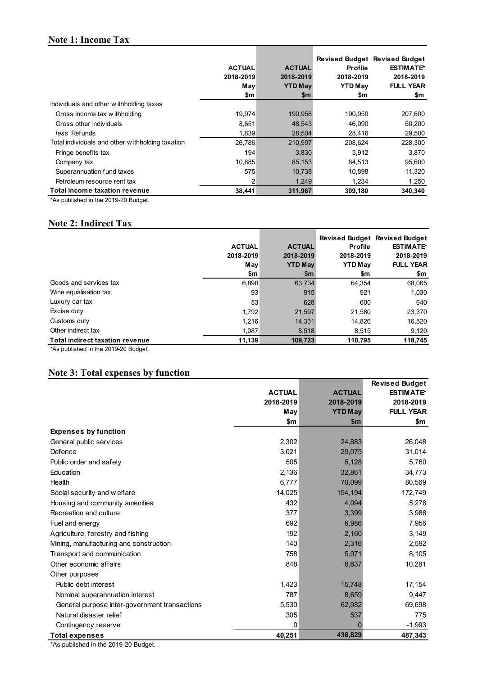# **Note 1: Income Tax**

|                                                   | <b>ACTUAL</b><br>2018-2019<br>May<br>\$m | <b>ACTUAL</b><br>2018-2019<br><b>YTD May</b><br>\$m | <b>Profile</b><br>2018-2019<br><b>YTD May</b><br>\$m | <b>Revised Budget Revised Budget</b><br><b>ESTIMATE*</b><br>2018-2019<br><b>FULL YEAR</b><br>\$m |
|---------------------------------------------------|------------------------------------------|-----------------------------------------------------|------------------------------------------------------|--------------------------------------------------------------------------------------------------|
| Individuals and other withholding taxes           |                                          |                                                     |                                                      |                                                                                                  |
| Gross income tax withholding                      | 19,974                                   | 190,958                                             | 190,950                                              | 207,600                                                                                          |
| Gross other individuals                           | 8,651                                    | 48,543                                              | 46.090                                               | 50,200                                                                                           |
| less Refunds                                      | 1,839                                    | 28,504                                              | 28,416                                               | 29,500                                                                                           |
| Total individuals and other w ithholding taxation | 26,786                                   | 210,997                                             | 208,624                                              | 228,300                                                                                          |
| Fringe benefits tax                               | 194                                      | 3,830                                               | 3.912                                                | 3,870                                                                                            |
| Company tax                                       | 10,885                                   | 85,153                                              | 84,513                                               | 95,600                                                                                           |
| Superannuation fund taxes                         | 575                                      | 10,738                                              | 10.898                                               | 11,320                                                                                           |
| Petroleum resource rent tax                       | 2                                        | 1,249                                               | 1,234                                                | 1,250                                                                                            |
| Total income taxation revenue                     | 38,441                                   | 311,967                                             | 309,180                                              | 340,340                                                                                          |

\*As published in the 2019-20 Budget.

# **Note 2: Indirect Tax**

|                                        |               |                |                | <b>Revised Budget Revised Budget</b> |
|----------------------------------------|---------------|----------------|----------------|--------------------------------------|
|                                        | <b>ACTUAL</b> | <b>ACTUAL</b>  | <b>Profile</b> | <b>ESTIMATE*</b>                     |
|                                        | 2018-2019     | 2018-2019      | 2018-2019      | 2018-2019                            |
|                                        | May           | <b>YTD May</b> | <b>YTD May</b> | <b>FULL YEAR</b>                     |
|                                        | \$m           | \$m            | \$m            | \$m                                  |
| Goods and services tax                 | 6,898         | 63,734         | 64.354         | 68,065                               |
| Wine equalisation tax                  | 93            | 915            | 921            | 1,030                                |
| Luxury car tax                         | 53            | 628            | 600            | 640                                  |
| Excise duty                            | 1,792         | 21,597         | 21,580         | 23,370                               |
| Customs duty                           | 1,216         | 14,331         | 14,826         | 16,520                               |
| Other indirect tax                     | 1.087         | 8,518          | 8,515          | 9,120                                |
| <b>Total indirect taxation revenue</b> | 11,139        | 109,723        | 110,795        | 118,745                              |

\*As published in the 2019-20 Budget.

# **Note 3: Total expenses by function**

|                                               |               |                | <b>Revised Budget</b> |
|-----------------------------------------------|---------------|----------------|-----------------------|
|                                               | <b>ACTUAL</b> | <b>ACTUAL</b>  | <b>ESTIMATE*</b>      |
|                                               | 2018-2019     | 2018-2019      | 2018-2019             |
|                                               | May           | <b>YTD May</b> | <b>FULL YEAR</b>      |
|                                               | \$m           | $\mathsf{sm}$  | \$m                   |
| <b>Expenses by function</b>                   |               |                |                       |
| General public services                       | 2,302         | 24,883         | 26,048                |
| Defence                                       | 3,021         | 29,075         | 31,014                |
| Public order and safety                       | 505           | 5,128          | 5,760                 |
| Education                                     | 2,136         | 32,861         | 34,773                |
| Health                                        | 6,777         | 70,099         | 80,569                |
| Social security and welfare                   | 14,025        | 154,194        | 172,749               |
| Housing and community amenities               | 432           | 4,094          | 5,278                 |
| Recreation and culture                        | 377           | 3,399          | 3,988                 |
| Fuel and energy                               | 692           | 6,986          | 7,956                 |
| Agriculture, forestry and fishing             | 192           | 2,160          | 3,149                 |
| Mining, manufacturing and construction        | 140           | 2,316          | 2,592                 |
| Transport and communication                   | 758           | 5,071          | 8,105                 |
| Other economic affairs                        | 848           | 8,637          | 10,281                |
| Other purposes                                |               |                |                       |
| Public debt interest                          | 1,423         | 15,748         | 17,154                |
| Nominal superannuation interest               | 787           | 8,659          | 9,447                 |
| General purpose inter-government transactions | 5,530         | 62,982         | 69,698                |
| Natural disaster relief                       | 305           | 537            | 775                   |
| Contingency reserve                           | 0             | $\Omega$       | $-1,993$              |
| <b>Total expenses</b>                         | 40,251        | 436,829        | 487,343               |

\*As published in the 2019-20 Budget.